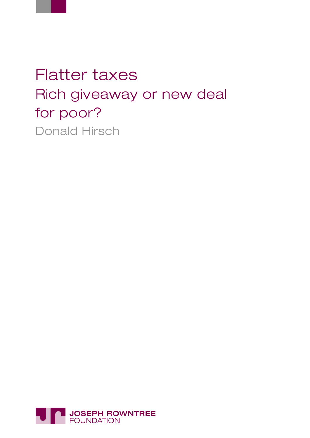

# Flatter taxes Rich giveaway or new deal for poor? Donald Hirsch

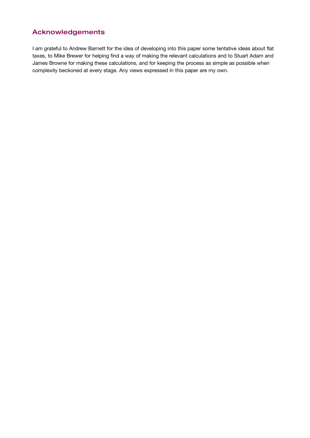## Acknowledgements

I am grateful to Andrew Barnett for the idea of developing into this paper some tentative ideas about flat taxes, to Mike Brewer for helping find a way of making the relevant calculations and to Stuart Adam and James Browne for making these calculations, and for keeping the process as simple as possible when complexity beckoned at every stage. Any views expressed in this paper are my own.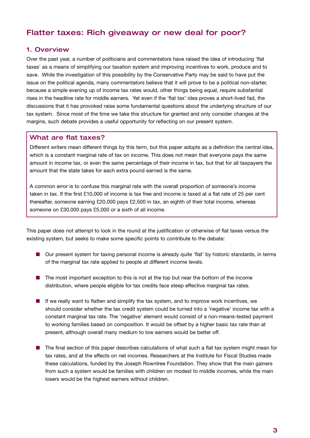## Flatter taxes: Rich giveaway or new deal for poor?

## 1. Overview

Over the past year, a number of politicians and commentators have raised the idea of introducing 'flat taxes' as a means of simplifying our taxation system and improving incentives to work, produce and to save. While the investigation of this possibility by the Conservative Party may be said to have put the issue on the political agenda, many commentators believe that it will prove to be a political non-starter, because a simple evening up of income tax rates would, other things being equal, require substantial rises in the headline rate for middle earners. Yet even if the 'flat tax' idea proves a short-lived fad, the discussions that it has provoked raise some fundamental questions about the underlying structure of our tax system. Since most of the time we take this structure for granted and only consider changes at the margins, such debate provides a useful opportunity for reflecting on our present system.

## What are flat taxes?

Different writers mean different things by this term, but this paper adopts as a definition the central idea, which is a constant marginal rate of tax on income. This does not mean that everyone pays the same amount in income tax, or even the same percentage of their income in tax, but that for all taxpayers the amount that the state takes for each extra pound earned is the same.

A common error is to confuse this marginal rate with the overall proportion of someone's income taken in tax. If the first £10,000 of income is tax free and income is taxed at a flat rate of 25 per cent thereafter, someone earning £20,000 pays £2,500 in tax, an eighth of their total income, whereas someone on £30,000 pays £5,000 or a sixth of all income.

This paper does not attempt to look in the round at the justification or otherwise of flat taxes versus the existing system, but seeks to make some specific points to contribute to the debate:

- Our present system for taxing personal income is already quite 'flat' by historic standards, in terms of the marginal tax rate applied to people at different income levels.
- The most important exception to this is not at the top but near the bottom of the income distribution, where people eligible for tax credits face steep effective marginal tax rates.
- If we really want to flatten and simplify the tax system, and to improve work incentives, we should consider whether the tax credit system could be turned into a 'negative' income tax with a constant marginal tax rate. The 'negative' element would consist of a non-means-tested payment to working families based on composition. It would be offset by a higher basic tax rate than at present, although overall many medium to low earners would be better off.
- The final section of this paper describes calculations of what such a flat tax system might mean for tax rates, and at the effects on net incomes. Researchers at the Institute for Fiscal Studies made these calculations, funded by the Joseph Rowntree Foundation. They show that the main gainers from such a system would be families with children on modest to middle incomes, while the main losers would be the highest earners without children.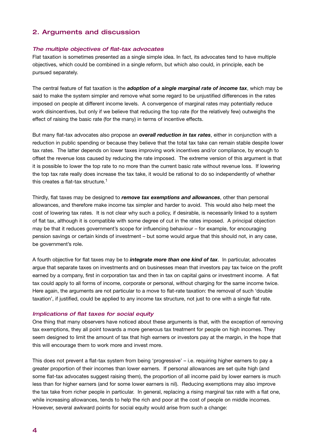## 2. Arguments and discussion

#### The multiple objectives of flat-tax advocates

Flat taxation is sometimes presented as a single simple idea. In fact, its advocates tend to have multiple objectives, which could be combined in a single reform, but which also could, in principle, each be pursued separately.

The central feature of flat taxation is the *adoption of a single marginal rate of income tax*, which may be said to make the system simpler and remove what some regard to be unjustified differences in the rates imposed on people at different income levels. A convergence of marginal rates may potentially reduce work disincentives, but only if we believe that reducing the top rate (for the relatively few) outweighs the effect of raising the basic rate (for the many) in terms of incentive effects.

But many flat-tax advocates also propose an *overall reduction in tax rates*, either in conjunction with a reduction in public spending or because they believe that the total tax take can remain stable despite lower tax rates. The latter depends on lower taxes improving work incentives and/or compliance, by enough to offset the revenue loss caused by reducing the rate imposed. The extreme version of this argument is that it is possible to lower the top rate to no more than the current basic rate without revenue loss. If lowering the top tax rate really does increase the tax take, it would be rational to do so independently of whether this creates a flat-tax structure.<sup>1</sup>

Thirdly, flat taxes may be designed to *remove tax exemptions and allowances*, other than personal allowances, and therefore make income tax simpler and harder to avoid. This would also help meet the cost of lowering tax rates. It is not clear why such a policy, if desirable, is necessarily linked to a system of flat tax, although it is compatible with some degree of cut in the rates imposed. A principal objection may be that it reduces government's scope for influencing behaviour – for example, for encouraging pension savings or certain kinds of investment – but some would argue that this should not, in any case, be government's role.

A fourth objective for flat taxes may be to *integrate more than one kind of tax*. In particular, advocates argue that separate taxes on investments and on businesses mean that investors pay tax twice on the profit earned by a company, first in corporation tax and then in tax on capital gains or investment income. A flat tax could apply to all forms of income, corporate or personal, without charging for the same income twice. Here again, the arguments are not particular to a move to flat-rate taxation: the removal of such 'double taxation', if justified, could be applied to any income tax structure, not just to one with a single flat rate.

#### Implications of flat taxes for social equity

One thing that many observers have noticed about these arguments is that, with the exception of removing tax exemptions, they all point towards a more generous tax treatment for people on high incomes. They seem designed to limit the amount of tax that high earners or investors pay at the margin, in the hope that this will encourage them to work more and invest more.

This does not prevent a flat-tax system from being 'progressive' – i.e. requiring higher earners to pay a greater proportion of their incomes than lower earners. If personal allowances are set quite high (and some flat-tax advocates suggest raising them), the proportion of all income paid by lower earners is much less than for higher earners (and for some lower earners is nil). Reducing exemptions may also improve the tax take from richer people in particular. In general, replacing a rising marginal tax rate with a flat one, while increasing allowances, tends to help the rich and poor at the cost of people on middle incomes. However, several awkward points for social equity would arise from such a change: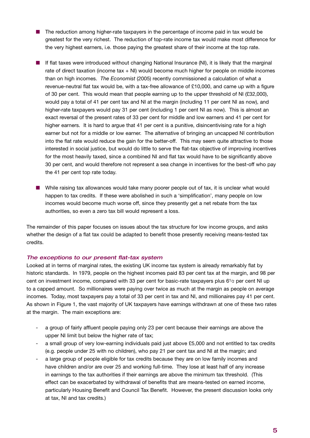- The reduction among higher-rate taxpayers in the percentage of income paid in tax would be greatest for the very richest. The reduction of top-rate income tax would make most difference for the very highest earners, i.e. those paying the greatest share of their income at the top rate.
- If flat taxes were introduced without changing National Insurance (NI), it is likely that the marginal rate of direct taxation (income tax + NI) would become much higher for people on middle incomes than on high incomes. *The Economist* (2005) recently commissioned a calculation of what a revenue-neutral flat tax would be, with a tax-free allowance of £10,000, and came up with a figure of 30 per cent. This would mean that people earning up to the upper threshold of NI (£32,000), would pay a total of 41 per cent tax and NI at the margin (including 11 per cent NI as now), and higher-rate taxpayers would pay 31 per cent (including 1 per cent NI as now). This is almost an exact reversal of the present rates of 33 per cent for middle and low earners and 41 per cent for higher earners. It is hard to argue that 41 per cent is a punitive, disincentivising rate for a high earner but not for a middle or low earner. The alternative of bringing an uncapped NI contribution into the flat rate would reduce the gain for the better-off. This may seem quite attractive to those interested in social justice, but would do little to serve the flat-tax objective of improving incentives for the most heavily taxed, since a combined NI and flat tax would have to be significantly above 30 per cent, and would therefore not represent a sea change in incentives for the best-off who pay the 41 per cent top rate today.
- While raising tax allowances would take many poorer people out of tax, it is unclear what would happen to tax credits. If these were abolished in such a 'simplification', many people on low incomes would become much worse off, since they presently get a net rebate from the tax authorities, so even a zero tax bill would represent a loss.

The remainder of this paper focuses on issues about the tax structure for low income groups, and asks whether the design of a flat tax could be adapted to benefit those presently receiving means-tested tax credits.

#### The exceptions to our present flat-tax system

Looked at in terms of marginal rates, the existing UK income tax system is already remarkably flat by historic standards. In 1979, people on the highest incomes paid 83 per cent tax at the margin, and 98 per cent on investment income, compared with 33 per cent for basic-rate taxpayers plus 61/2 per cent NI up to a capped amount. So millionaires were paying over twice as much at the margin as people on average incomes. Today, most taxpayers pay a total of 33 per cent in tax and NI, and millionaires pay 41 per cent. As shown in Figure 1, the vast majority of UK taxpayers have earnings withdrawn at one of these two rates at the margin. The main exceptions are:

- a group of fairly affluent people paying only 23 per cent because their earnings are above the upper NI limit but below the higher rate of tax;
- a small group of very low-earning individuals paid just above £5,000 and not entitled to tax credits (e.g. people under 25 with no children), who pay 21 per cent tax and NI at the margin; and
- a large group of people eligible for tax credits because they are on low family incomes and have children and/or are over 25 and working full-time. They lose at least half of any increase in earnings to the tax authorities if their earnings are above the minimum tax threshold. (This effect can be exacerbated by withdrawal of benefits that are means-tested on earned income, particularly Housing Benefit and Council Tax Benefit. However, the present discussion looks only at tax, NI and tax credits.)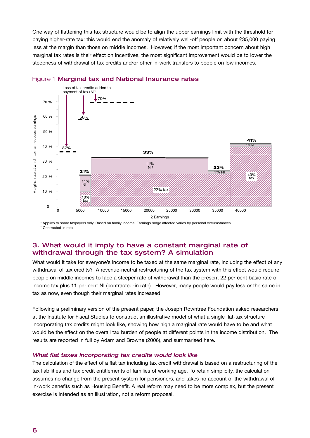One way of flattening this tax structure would be to align the upper earnings limit with the threshold for paying higher-rate tax: this would end the anomaly of relatively well-off people on about £35,000 paying less at the margin than those on middle incomes. However, if the most important concern about high marginal tax rates is their effect on incentives, the most significant improvement would be to lower the steepness of withdrawal of tax credits and/or other in-work transfers to people on low incomes.



## Figure 1 Marginal tax and National Insurance rates

\* Applies to some taxpayers only. Based on family income. Earnings range affected varies by personal circumstances † Contracted-in rate

#### 3. What would it imply to have a constant marginal rate of If the world's imply to have a conclaint margin withdrawal through the tax system? A simulation **(flat taxes with flat NI)**

What would it take for everyone's income to be taxed at the same marginal rate, including the effect of any withdrawal of tax credits? A revenue-neutral restructuring of the tax system with this effect would require people on middle incomes to face a steeper rate of withdrawal than the present 22 per cent basic rate of income tax plus 11 per cent NI (contracted-in rate). However, many people would pay less or the same in tax as now, even though their marginal rates increased. Couple/lone parent earning £20k, one child

Following a preliminary version of the present paper, the Joseph Rowntree Foundation asked researchers at the Institute for Fiscal Studies to construct an illustrative model of what a single flat-tax structure incorporating tax credits might look like, showing how high a marginal rate would have to be and what would be the effect on the overall tax burden of people at different points in the income distribution. The results are reported in full by Adam and Browne (2006), and summarised here.  $\mathcal{P}$ 

## What flat taxes incorporating tax credits would look like

The calculation of the effect of a flat tax including tax credit withdrawal is based on a restructuring of the tax liabilities and tax credit entitlements of families of working age. To retain simplicity, the calculation assumes no change from the present system for pensioners, and takes no account of the withdrawal of in-work benefits such as Housing Benefit. A real reform may need to be more complex, but the present exercise is intended as an illustration, not a reform proposal.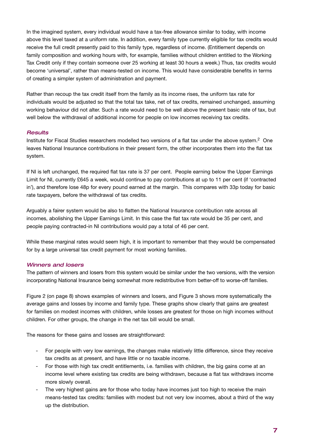In the imagined system, every individual would have a tax-free allowance similar to today, with income above this level taxed at a uniform rate. In addition, every family type currently eligible for tax credits would receive the full credit presently paid to this family type, regardless of income. (Entitlement depends on family composition and working hours with, for example, families without children entitled to the Working Tax Credit only if they contain someone over 25 working at least 30 hours a week.) Thus, tax credits would become 'universal', rather than means-tested on income. This would have considerable benefits in terms of creating a simpler system of administration and payment.

Rather than recoup the tax credit itself from the family as its income rises, the uniform tax rate for individuals would be adjusted so that the total tax take, net of tax credits, remained unchanged, assuming working behaviour did not alter. Such a rate would need to be well above the present basic rate of tax, but well below the withdrawal of additional income for people on low incomes receiving tax credits.

#### **Results**

Institute for Fiscal Studies researchers modelled two versions of a flat tax under the above system.<sup>2</sup> One leaves National Insurance contributions in their present form, the other incorporates them into the flat tax system.

If NI is left unchanged, the required flat tax rate is 37 per cent. People earning below the Upper Earnings Limit for NI, currently £645 a week, would continue to pay contributions at up to 11 per cent (if 'contracted in'), and therefore lose 48p for every pound earned at the margin. This compares with 33p today for basic rate taxpayers, before the withdrawal of tax credits.

Arguably a fairer system would be also to flatten the National Insurance contribution rate across all incomes, abolishing the Upper Earnings Limit. In this case the flat tax rate would be 35 per cent, and people paying contracted-in NI contributions would pay a total of 46 per cent.

While these marginal rates would seem high, it is important to remember that they would be compensated for by a large universal tax credit payment for most working families.

## Winners and losers

The pattern of winners and losers from this system would be similar under the two versions, with the version incorporating National Insurance being somewhat more redistributive from better-off to worse-off families.

Figure 2 (on page 8) shows examples of winners and losers, and Figure 3 shows more systematically the average gains and losses by income and family type. These graphs show clearly that gains are greatest for families on modest incomes with children, while losses are greatest for those on high incomes without children. For other groups, the change in the net tax bill would be small.

The reasons for these gains and losses are straightforward:

- For people with very low earnings, the changes make relatively little difference, since they receive tax credits as at present, and have little or no taxable income.
- For those with high tax credit entitlements, i.e. families with children, the big gains come at an income level where existing tax credits are being withdrawn, because a flat tax withdraws income more slowly overall.
- The very highest gains are for those who today have incomes just too high to receive the main means-tested tax credits: families with modest but not very low incomes, about a third of the way up the distribution.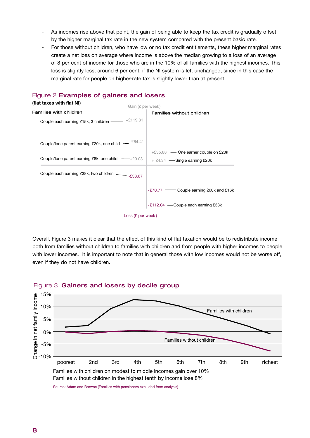- As incomes rise above that point, the gain of being able to keep the tax credit is gradually offset by the higher marginal tax rate in the new system compared with the present basic rate.
- For those without children, who have low or no tax credit entitlements, these higher marginal rates create a net loss on average where income is above the median growing to a loss of an average of 8 per cent of income for those who are in the 10% of all families with the highest incomes. This loss is slightly less, around 6 per cent, if the NI system is left unchanged, since in this case the marginal rate for people on higher-rate tax is slightly lower than at present.  $\overline{\phantom{a}}$



Overall, Figure 3 makes it clear that the effect of this kind of flat taxation would be to redistribute income both from families without children to families with children and from people with higher incomes to people with lower incomes. It is important to note that in general those with low incomes would not be worse off, even if they do not have children.  $O$  verall, inguie of makes



#### Figure 3 Gainers and losers by decile group

Source: Adam and Browne (Families with pensioners excluded from analysis)

Families without children in the highest tenth by income lose 8%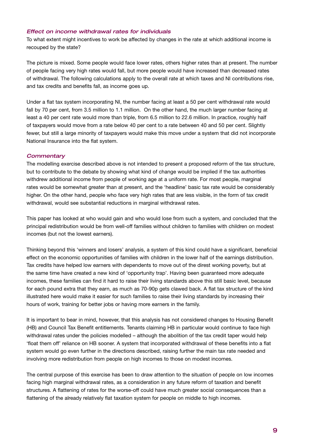#### Effect on income withdrawal rates for individuals

To what extent might incentives to work be affected by changes in the rate at which additional income is recouped by the state?

The picture is mixed. Some people would face lower rates, others higher rates than at present. The number of people facing very high rates would fall, but more people would have increased than decreased rates of withdrawal. The following calculations apply to the overall rate at which taxes and NI contributions rise, and tax credits and benefits fall, as income goes up.

Under a flat tax system incorporating NI, the number facing at least a 50 per cent withdrawal rate would fall by 70 per cent, from 3.5 million to 1.1 million. On the other hand, the much larger number facing at least a 40 per cent rate would more than triple, from 6.5 million to 22.6 million. In practice, roughly half of taxpayers would move from a rate below 40 per cent to a rate between 40 and 50 per cent. Slightly fewer, but still a large minority of taxpayers would make this move under a system that did not incorporate National Insurance into the flat system.

#### **Commentary**

The modelling exercise described above is not intended to present a proposed reform of the tax structure, but to contribute to the debate by showing what kind of change would be implied if the tax authorities withdrew additional income from people of working age at a uniform rate. For most people, marginal rates would be somewhat greater than at present, and the 'headline' basic tax rate would be considerably higher. On the other hand, people who face very high rates that are less visible, in the form of tax credit withdrawal, would see substantial reductions in marginal withdrawal rates.

This paper has looked at who would gain and who would lose from such a system, and concluded that the principal redistribution would be from well-off families without children to families with children on modest incomes (but not the lowest earners).

Thinking beyond this 'winners and losers' analysis, a system of this kind could have a significant, beneficial effect on the economic opportunities of families with children in the lower half of the earnings distribution. Tax credits have helped low earners with dependents to move out of the direst working poverty, but at the same time have created a new kind of 'opportunity trap'. Having been guaranteed more adequate incomes, these families can find it hard to raise their living standards above this still basic level, because for each pound extra that they earn, as much as 70-90p gets clawed back. A flat tax structure of the kind illustrated here would make it easier for such families to raise their living standards by increasing their hours of work, training for better jobs or having more earners in the family.

It is important to bear in mind, however, that this analysis has not considered changes to Housing Benefit (HB) and Council Tax Benefit entitlements. Tenants claiming HB in particular would continue to face high withdrawal rates under the policies modelled – although the abolition of the tax credit taper would help 'float them off' reliance on HB sooner. A system that incorporated withdrawal of these benefits into a flat system would go even further in the directions described, raising further the main tax rate needed and involving more redistribution from people on high incomes to those on modest incomes.

The central purpose of this exercise has been to draw attention to the situation of people on low incomes facing high marginal withdrawal rates, as a consideration in any future reform of taxation and benefit structures. A flattening of rates for the worse-off could have much greater social consequences than a flattening of the already relatively flat taxation system for people on middle to high incomes.